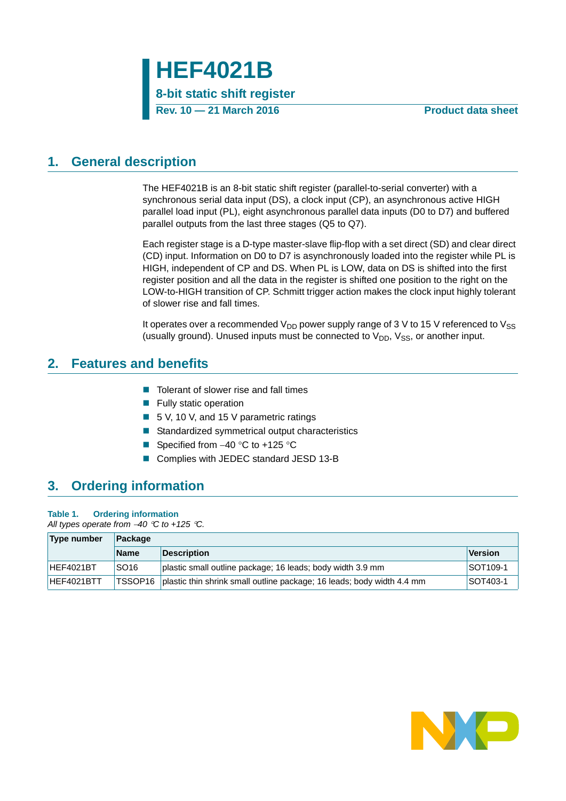

### <span id="page-0-0"></span>**1. General description**

The HEF4021B is an 8-bit static shift register (parallel-to-serial converter) with a synchronous serial data input (DS), a clock input (CP), an asynchronous active HIGH parallel load input (PL), eight asynchronous parallel data inputs (D0 to D7) and buffered parallel outputs from the last three stages (Q5 to Q7).

Each register stage is a D-type master-slave flip-flop with a set direct (SD) and clear direct (CD) input. Information on D0 to D7 is asynchronously loaded into the register while PL is HIGH, independent of CP and DS. When PL is LOW, data on DS is shifted into the first register position and all the data in the register is shifted one position to the right on the LOW-to-HIGH transition of CP. Schmitt trigger action makes the clock input highly tolerant of slower rise and fall times.

It operates over a recommended  $V_{DD}$  power supply range of 3 V to 15 V referenced to  $V_{SS}$ (usually ground). Unused inputs must be connected to  $V_{DD}$ ,  $V_{SS}$ , or another input.

### <span id="page-0-1"></span>**2. Features and benefits**

- Tolerant of slower rise and fall times
- **Fully static operation**
- 5 V, 10 V, and 15 V parametric ratings
- Standardized symmetrical output characteristics
- Specified from  $-40$  °C to  $+125$  °C
- Complies with JEDEC standard JESD 13-B

### <span id="page-0-2"></span>**3. Ordering information**

#### **Table 1. Ordering information**

*All types operate from 40 C to +125 C.*

| Type number | Package          |                                                                                |                |
|-------------|------------------|--------------------------------------------------------------------------------|----------------|
|             | <b>Name</b>      | <b>Description</b>                                                             | <b>Version</b> |
| HEF4021BT   | SO <sub>16</sub> | plastic small outline package; 16 leads; body width 3.9 mm                     | SOT109-1       |
| HEF4021BTT  |                  | TSSOP16 plastic thin shrink small outline package: 16 leads; body width 4.4 mm | SOT403-1       |

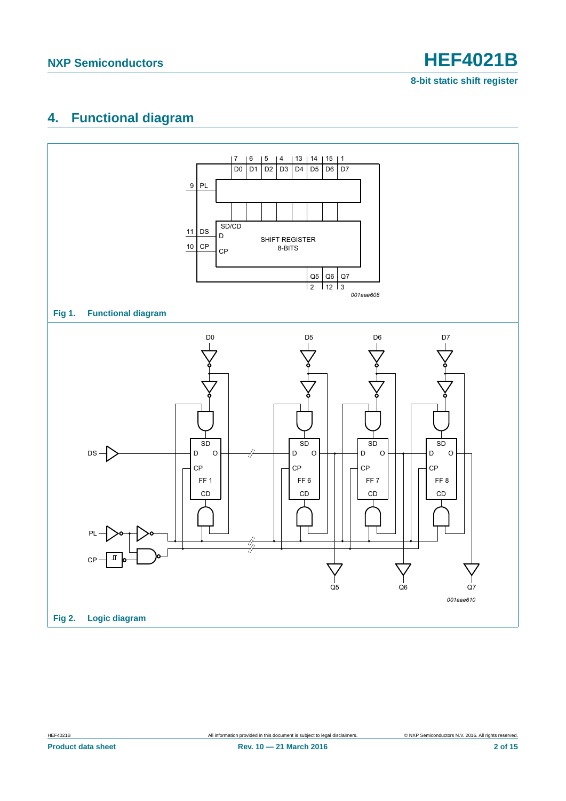**8-bit static shift register**

## <span id="page-1-0"></span>**4. Functional diagram**

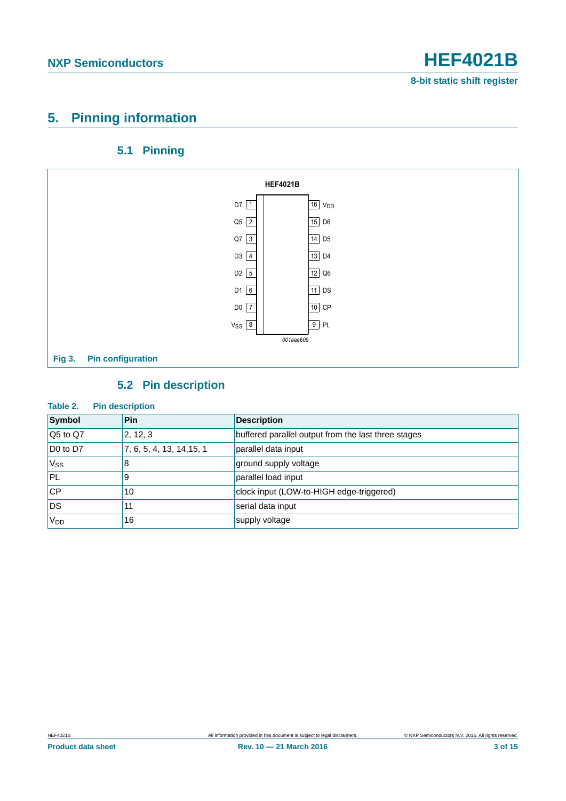### <span id="page-2-0"></span>**5. Pinning information**

### **5.1 Pinning**

<span id="page-2-1"></span>

### **5.2 Pin description**

#### <span id="page-2-2"></span>**Table 2. Pin description**

| Symbol                           | Pin                       | <b>Description</b>                                  |
|----------------------------------|---------------------------|-----------------------------------------------------|
| Q5 to Q7                         | 2, 12, 3                  | buffered parallel output from the last three stages |
| D <sub>0</sub> to D <sub>7</sub> | 7, 6, 5, 4, 13, 14, 15, 1 | parallel data input                                 |
| $V_{SS}$                         | 8                         | ground supply voltage                               |
| PL                               | 9                         | parallel load input                                 |
| <b>CP</b>                        | 10                        | clock input (LOW-to-HIGH edge-triggered)            |
| <b>DS</b>                        | 11                        | serial data input                                   |
| V <sub>DD</sub>                  | 16                        | supply voltage                                      |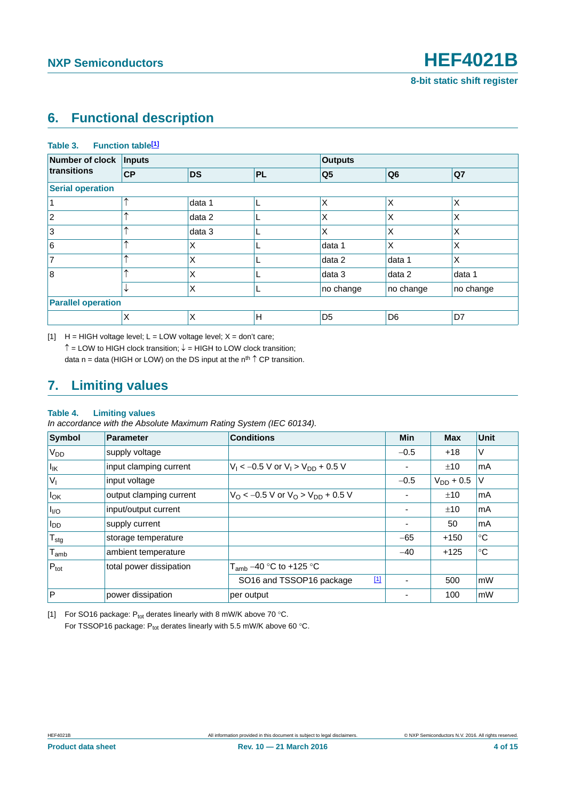### <span id="page-3-2"></span>**6. Functional description**

#### Table 3. Function table<sup>[1]</sup>

| <b>Number of clock</b>    | Inputs    |           |           | <b>Outputs</b> |                |           |
|---------------------------|-----------|-----------|-----------|----------------|----------------|-----------|
| transitions               | <b>CP</b> | <b>DS</b> | <b>PL</b> | Q <sub>5</sub> | Q <sub>6</sub> | Q7        |
| <b>Serial operation</b>   |           |           |           |                |                |           |
|                           | ᄉ         | data 1    | L         | Χ              | ΙX             | X         |
| $\overline{2}$            | ᄉ         | data 2    | ┗         | X              | X              | X         |
| 3                         | ᄉ         | data 3    | ┗         | X              | X              | X         |
| 6                         | ᄉ         | X         |           | data 1         | X              | X         |
| $\overline{7}$            | ᄉ         | X         |           | data 2         | data 1         | X         |
| 8                         | ⋏         | X         |           | data 3         | data 2         | data 1    |
|                           | ↓         | X         | L         | no change      | no change      | no change |
| <b>Parallel operation</b> |           |           |           |                |                |           |
|                           | X         | X         | H         | D <sub>5</sub> | D <sub>6</sub> | D7        |

<span id="page-3-0"></span> $[1]$  H = HIGH voltage level; L = LOW voltage level; X = don't care;  $\uparrow$  = LOW to HIGH clock transition;  $\downarrow$  = HIGH to LOW clock transition; data n = data (HIGH or LOW) on the DS input at the  $n^{th} \uparrow CP$  transition.

### <span id="page-3-3"></span>**7. Limiting values**

#### **Table 4. Limiting values**

*In accordance with the Absolute Maximum Rating System (IEC 60134).*

| <b>Symbol</b>               | Parameter               | <b>Conditions</b>                                          | Min    | <b>Max</b>         | <b>Unit</b> |
|-----------------------------|-------------------------|------------------------------------------------------------|--------|--------------------|-------------|
| V <sub>DD</sub>             | supply voltage          |                                                            | $-0.5$ | $+18$              | V           |
| $I_{\mathsf{IK}}$           | input clamping current  | $V_1 < -0.5$ V or $V_1 > V_{DD} + 0.5$ V                   |        | ±10                | mA          |
| $ V_1$                      | input voltage           |                                                            | $-0.5$ | $\rm V_{DD}$ + 0.5 | V           |
| $I_{OK}$                    | output clamping current | $V_{\rm O}$ < -0.5 V or $V_{\rm O}$ > $V_{\rm DD}$ + 0.5 V |        | ±10                | mA          |
| $I_{VQ}$                    | input/output current    |                                                            |        | ±10                | mA          |
| $I_{DD}$                    | supply current          |                                                            |        | 50                 | mA          |
| $T_{\text{stg}}$            | storage temperature     |                                                            | $-65$  | $+150$             | °C          |
| $\mathsf{T}_{\mathsf{amb}}$ | ambient temperature     |                                                            | $-40$  | $+125$             | $^{\circ}C$ |
| $P_{\text{tot}}$            | total power dissipation | $T_{amb}$ –40 °C to +125 °C                                |        |                    |             |
|                             |                         | $[1]$<br>SO16 and TSSOP16 package                          |        | 500                | mW          |
| P                           | power dissipation       | per output                                                 |        | 100                | mW          |

<span id="page-3-1"></span>[1] For SO16 package:  $P_{tot}$  derates linearly with 8 mW/K above 70 °C. For TSSOP16 package:  $P_{tot}$  derates linearly with 5.5 mW/K above 60 °C.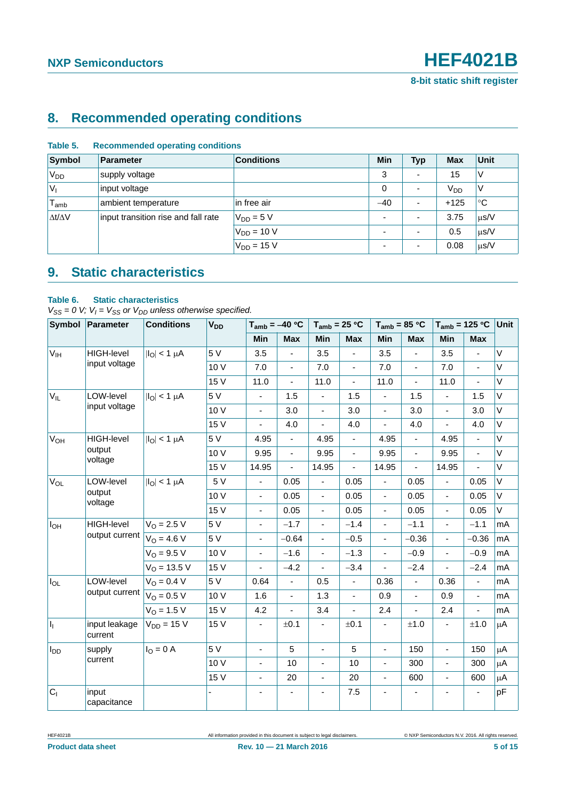### <span id="page-4-0"></span>**8. Recommended operating conditions**

| Symbol              | <b>Parameter</b>                    | <b>Conditions</b> | Min                      | <b>Typ</b> | <b>Max</b>      | <b>Unit</b> |
|---------------------|-------------------------------------|-------------------|--------------------------|------------|-----------------|-------------|
| $V_{DD}$            | supply voltage                      |                   | 3                        |            | 15              | ν           |
| $V_{\parallel}$     | input voltage                       |                   | 0                        |            | V <sub>DD</sub> | V           |
| $T_{\mathsf{amb}}$  | ambient temperature                 | in free air       | $-40$                    |            | $+125$          | °C          |
| $\Delta t/\Delta V$ | input transition rise and fall rate | $V_{DD} = 5 V$    | $\overline{\phantom{a}}$ |            | 3.75            | $\mu$ s/V   |
|                     |                                     | $V_{DD}$ = 10 V   | $\overline{\phantom{0}}$ |            | 0.5             | $\mu$ s/V   |
|                     |                                     | $V_{DD} = 15 V$   | $\overline{\phantom{0}}$ |            | 0.08            | $\mu$ s/V   |

#### **Table 5. Recommended operating conditions**

### <span id="page-4-1"></span>**9. Static characteristics**

#### **Table 6. Static characteristics**

 $V_{SS} = 0$  V;  $V_I = V_{SS}$  or  $V_{DD}$  unless otherwise specified.

|                       | Symbol Parameter         | <b>Conditions</b>        | V <sub>DD</sub> |                          | $T_{amb} = -40 °C$       | $T_{amb}$ = 25 °C        |                              | $T_{amb}$ = 85 °C        |                | $T_{amb}$ = 125 °C       |                          | Unit         |
|-----------------------|--------------------------|--------------------------|-----------------|--------------------------|--------------------------|--------------------------|------------------------------|--------------------------|----------------|--------------------------|--------------------------|--------------|
|                       |                          |                          |                 | Min                      | <b>Max</b>               | Min                      | <b>Max</b>                   | Min                      | <b>Max</b>     | Min                      | <b>Max</b>               |              |
| $V_{IH}$              | HIGH-level               | $ I_{\text{O}} $ < 1 µA  | 5 V             | 3.5                      | $\blacksquare$           | 3.5                      | $\blacksquare$               | 3.5                      | $\blacksquare$ | 3.5                      | $\frac{1}{2}$            | V            |
|                       | input voltage            |                          | 10 V            | 7.0                      | $\blacksquare$           | 7.0                      | $\blacksquare$               | 7.0                      | $\blacksquare$ | 7.0                      | $\blacksquare$           | $\mathsf{V}$ |
|                       |                          |                          | 15 V            | 11.0                     | $\overline{\phantom{a}}$ | 11.0                     | $\blacksquare$               | 11.0                     | ä,             | 11.0                     | ÷,                       | $\vee$       |
| $V_{IL}$              | LOW-level                | $ I_{\Omega}  < 1 \mu A$ | 5 V             | $\blacksquare$           | 1.5                      | ÷,                       | 1.5                          | $\overline{\phantom{a}}$ | 1.5            | ÷.                       | 1.5                      | $\vee$       |
|                       | input voltage            |                          | 10 V            | $\overline{\phantom{a}}$ | 3.0                      | $\overline{\phantom{a}}$ | 3.0                          | $\blacksquare$           | 3.0            | $\blacksquare$           | 3.0                      | V            |
|                       |                          |                          | 15 V            | $\frac{1}{2}$            | 4.0                      | $\blacksquare$           | 4.0                          | $\overline{\phantom{0}}$ | 4.0            | ÷,                       | 4.0                      | V            |
| <b>V<sub>OH</sub></b> | <b>HIGH-level</b>        | $ I_{\Omega}  < 1 \mu A$ | 5 V             | 4.95                     | $\overline{\phantom{a}}$ | 4.95                     | $\qquad \qquad \blacksquare$ | 4.95                     | $\blacksquare$ | 4.95                     | $\frac{1}{2}$            | $\vee$       |
|                       | output                   |                          | 10 V            | 9.95                     | $\omega$                 | 9.95                     | $\blacksquare$               | 9.95                     | ä,             | 9.95                     | $\overline{a}$           | $\vee$       |
|                       | voltage                  |                          | 15 V            | 14.95                    | $\blacksquare$           | 14.95                    | $\blacksquare$               | 14.95                    | $\blacksquare$ | 14.95                    | $\blacksquare$           | $\vee$       |
| V <sub>OL</sub>       | LOW-level                | $ I_O $ < 1 $\mu$ A      | 5 V             | $\overline{\phantom{a}}$ | 0.05                     | $\blacksquare$           | 0.05                         | $\blacksquare$           | 0.05           | ÷.                       | 0.05                     | V            |
|                       | output                   |                          | 10 V            | $\overline{\phantom{a}}$ | 0.05                     | $\overline{\phantom{a}}$ | 0.05                         | $\blacksquare$           | 0.05           | ÷,                       | 0.05                     | V            |
|                       | voltage                  |                          | 15 V            | $\overline{\phantom{a}}$ | 0.05                     | ä,                       | 0.05                         | $\overline{\phantom{a}}$ | 0.05           | ä,                       | 0.05                     | $\vee$       |
| I <sub>OH</sub>       | <b>HIGH-level</b>        | $V_O = 2.5 V$            | 5 V             | $\overline{\phantom{a}}$ | $-1.7$                   | $\blacksquare$           | $-1.4$                       | $\blacksquare$           | $-1.1$         | $\blacksquare$           | $-1.1$                   | mA           |
|                       | output current           | $V_0 = 4.6 V$            | 5 V             | $\overline{\phantom{a}}$ | $-0.64$                  | $\blacksquare$           | $-0.5$                       | $\blacksquare$           | $-0.36$        | $\blacksquare$           | $-0.36$                  | mA           |
|                       |                          | $V_{\Omega} = 9.5 V$     | 10V             | $\overline{\phantom{0}}$ | $-1.6$                   | $\overline{\phantom{a}}$ | $-1.3$                       | $\blacksquare$           | $-0.9$         | ÷,                       | $-0.9$                   | mA           |
|                       |                          | $V_{\Omega} = 13.5 V$    | 15 V            | $\blacksquare$           | $-4.2$                   | $\blacksquare$           | $-3.4$                       | $\overline{a}$           | $-2.4$         | ä,                       | $-2.4$                   | mA           |
| $I_{OL}$              | LOW-level                | $V_O = 0.4 V$            | 5 V             | 0.64                     | $\blacksquare$           | 0.5                      | $\blacksquare$               | 0.36                     | $\blacksquare$ | 0.36                     | $\blacksquare$           | mA           |
|                       | output current           | $V_{O} = 0.5 V$          | 10 V            | 1.6                      | $\overline{\phantom{a}}$ | 1.3                      | $\blacksquare$               | 0.9                      | $\blacksquare$ | 0.9                      | $\overline{\phantom{a}}$ | mA           |
|                       |                          | $V_{\Omega} = 1.5 V$     | 15 V            | 4.2                      | $\blacksquare$           | 3.4                      | ÷,                           | 2.4                      | ÷,             | 2.4                      | ä,                       | mA           |
| $\vert I_1 \vert$     | input leakage<br>current | $V_{DD} = 15 V$          | 15 V            | $\overline{\phantom{a}}$ | ±0.1                     | $\blacksquare$           | ±0.1                         | $\frac{1}{2}$            | $\pm 1.0$      | $\blacksquare$           | $\pm 1.0$                | $\mu$ A      |
| $I_{DD}$              | supply                   | $IO = 0$ A               | 5 V             | $\overline{\phantom{a}}$ | 5                        | $\blacksquare$           | 5                            | $\overline{\phantom{a}}$ | 150            | $\overline{\phantom{a}}$ | 150                      | μA           |
|                       | current                  |                          | 10 V            | $\overline{\phantom{a}}$ | 10                       | $\overline{\phantom{a}}$ | 10                           | $\frac{1}{2}$            | 300            | $\blacksquare$           | 300                      | μA           |
|                       |                          |                          | 15 V            |                          | 20                       | $\overline{\phantom{a}}$ | 20                           | $\frac{1}{2}$            | 600            | ÷,                       | 600                      | μA           |
| $ C_1 $               | input<br>capacitance     |                          |                 |                          |                          |                          | 7.5                          |                          |                |                          |                          | pF           |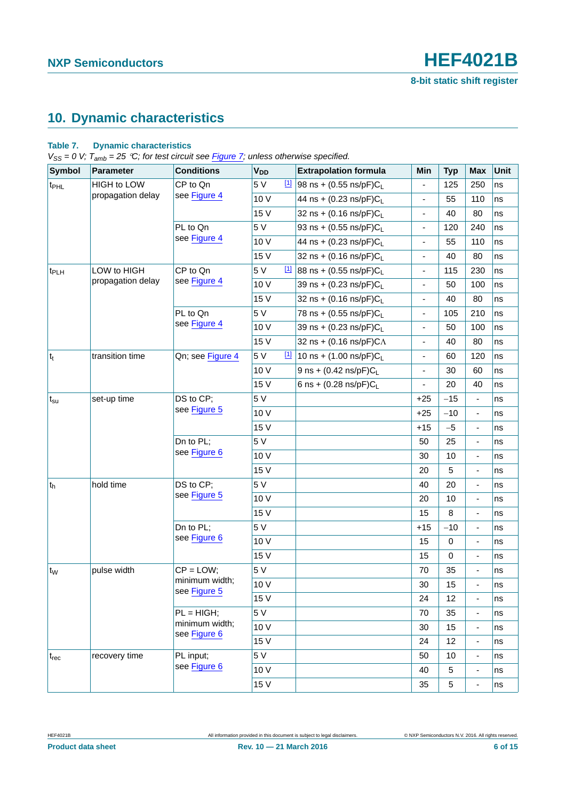### <span id="page-5-0"></span>**10. Dynamic characteristics**

#### **Table 7. Dynamic characteristics**

*VSS = 0 V; Tamb = 25 C; for test circuit see [Figure 7;](#page-8-0) unless otherwise specified.*

| <b>Symbol</b>    | <b>Parameter</b>  | <b>Conditions</b>              | <b>V<sub>DD</sub></b> | <b>Extrapolation formula</b>            | Min                      | <b>Typ</b>       | Max                          | <b>Unit</b> |
|------------------|-------------------|--------------------------------|-----------------------|-----------------------------------------|--------------------------|------------------|------------------------------|-------------|
| t <sub>PHL</sub> | HIGH to LOW       | CP to Qn                       | 5 V<br>$[1]$          | 98 ns + $(0.55 \text{ ns/pF})C_L$       |                          | 125              | 250                          | ns          |
|                  | propagation delay | see Figure 4                   | 10 V                  | 44 ns + (0.23 ns/pF)C <sub>1</sub>      | $\overline{\phantom{a}}$ | 55               | 110                          | ns          |
|                  |                   |                                | 15 V                  | 32 ns + $(0.16 \text{ ns/pF})C_1$       | ÷.                       | 40               | 80                           | ns          |
|                  |                   | PL to Qn                       | 5 V                   | 93 ns + $(0.55 \text{ ns/pF})C_{L}$     | $\blacksquare$           | 120              | 240                          | ns          |
|                  |                   | see Figure 4                   | 10 V                  | 44 ns + $(0.23 \text{ ns/pF})C_{L}$     | $\blacksquare$           | 55               | 110                          | ns          |
|                  |                   |                                | 15 V                  | 32 ns + $(0.16 \text{ ns/pF})C_{L}$     | $\blacksquare$           | 40               | 80                           | ns          |
| t <sub>PLH</sub> | LOW to HIGH       | CP to Qn                       | 5 V<br>$\boxed{11}$   | 88 ns + $(0.55 \text{ ns/pF})C_L$       | $\blacksquare$           | 115              | 230                          | ns          |
|                  | propagation delay | see Figure 4                   | 10 V                  | 39 ns + (0.23 ns/pF)CL                  | $\overline{\phantom{a}}$ | 50               | 100                          | ns          |
|                  |                   |                                | 15 V                  | 32 ns + $(0.16 \text{ ns/pF})C_{L}$     |                          | 40               | 80                           | ns          |
|                  |                   | PL to Qn                       | 5 V                   | 78 ns + $(0.55 \text{ ns/pF})C_{L}$     | $\overline{\phantom{a}}$ | 105              | 210                          | ns          |
|                  |                   | see Figure 4                   | 10 V                  | 39 ns + (0.23 ns/pF)CL                  | $\blacksquare$           | 50               | 100                          | ns          |
|                  |                   |                                | 15 V                  | 32 ns + $(0.16 \text{ ns/pF})C\Lambda$  | $\blacksquare$           | 40               | 80                           | ns          |
| $ t_t $          | transition time   | Qn; see Figure 4               | 5 V                   | $11$ 10 ns + (1.00 ns/pF)C <sub>L</sub> | $\blacksquare$           | 60               | 120                          | ns          |
|                  |                   |                                | 10 V                  | 9 ns + $(0.42 \text{ ns/pF})C_{L}$      | $\blacksquare$           | 30               | 60                           | ns          |
|                  |                   |                                | 15 V                  | 6 ns + $(0.28 \text{ ns/pF})C_L$        | $\blacksquare$           | 20               | 40                           | ns          |
| $t_{\rm su}$     | set-up time       | DS to CP;                      | 5 V                   |                                         | $+25$                    | $-15$            | $\qquad \qquad \blacksquare$ | ns          |
|                  |                   | see Figure 5                   | 10 V                  |                                         | $+25$                    | $-10$            | $\blacksquare$               | ns          |
|                  |                   |                                | 15 V                  |                                         | $+15$                    | $-5$             | $\overline{\phantom{a}}$     | ns          |
|                  |                   | Dn to PL;                      | 5 V                   |                                         | 50                       | 25               | $\overline{\phantom{a}}$     | ns          |
|                  |                   | see Figure 6                   | 10 V                  |                                         | 30                       | 10               | $\blacksquare$               | ns          |
|                  |                   |                                | 15 V                  |                                         | 20                       | 5                | $\overline{\phantom{a}}$     | ns          |
| ∣t <sub>h</sub>  | hold time         | DS to CP;                      | 5 V                   |                                         | 40                       | 20               | $\overline{\phantom{a}}$     | ns          |
|                  |                   | see Figure 5                   | 10 V                  |                                         | 20                       | 10               | $\overline{\phantom{a}}$     | ns          |
|                  |                   |                                | 15 V                  |                                         | 15                       | 8                | $\overline{\phantom{a}}$     | ns          |
|                  |                   | Dn to PL;                      | 5 V                   |                                         | $+15$                    | $-10$            | $\overline{\phantom{a}}$     | ns          |
|                  |                   | see Figure 6                   | 10 V                  |                                         | 15                       | $\boldsymbol{0}$ | $\overline{\phantom{a}}$     | ns          |
|                  |                   |                                | 15 V                  |                                         | 15                       | $\mathbf 0$      | $\overline{\phantom{a}}$     | ns          |
| $t_{W}$          | pulse width       | $CP = LOW;$                    | 5 V                   |                                         | 70                       | 35               | $\qquad \qquad \blacksquare$ | ns          |
|                  |                   | minimum width;<br>see Figure 5 | 10 V                  |                                         | 30                       | 15               | $\overline{a}$               | ns          |
|                  |                   |                                | 15 V                  |                                         | 24                       | 12               | $\qquad \qquad \blacksquare$ | ns          |
|                  |                   | $PL = HIGH;$                   | 5 V                   |                                         | 70                       | 35               | $\blacksquare$               | ns          |
|                  |                   | minimum width;<br>see Figure 6 | 10 V                  |                                         | 30                       | 15               | $\overline{\phantom{0}}$     | ns          |
|                  |                   |                                | 15 V                  |                                         | 24                       | 12               | $\blacksquare$               | ns          |
| $t_{rec}$        | recovery time     | PL input;                      | 5 V                   |                                         | 50                       | 10               | $\qquad \qquad \blacksquare$ | ns          |
|                  |                   | see Figure 6                   | 10 V                  |                                         | 40                       | 5                | $\blacksquare$               | ns          |
|                  |                   |                                | 15 V                  |                                         | 35                       | $\,$ 5 $\,$      | $\overline{\phantom{a}}$     | ns          |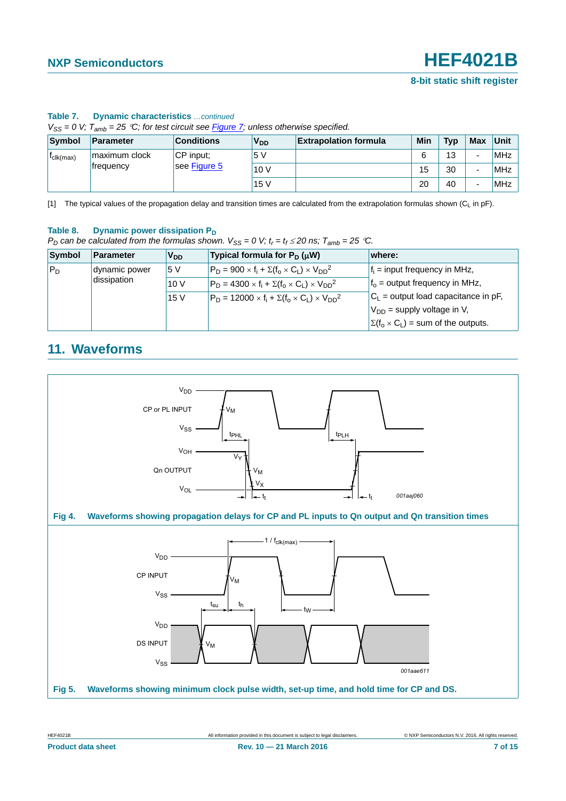| $V_{SS} = 0$ V; $T_{amb} = 25$ °C; for test circuit see Figure 7; unless otherwise specified. |               |                   |                       |                              |     |            |                          |            |
|-----------------------------------------------------------------------------------------------|---------------|-------------------|-----------------------|------------------------------|-----|------------|--------------------------|------------|
| Symbol                                                                                        | Parameter     | <b>Conditions</b> | <b>V<sub>DD</sub></b> | <b>Extrapolation formula</b> | Min | <b>Typ</b> | Max                      | Unit       |
| $t_{\text{clk(max)}}$                                                                         | maximum clock | CP input:         | 5V                    |                              | 6   | 13         | -                        | MHz        |
|                                                                                               | frequency     | see Figure 5      | 10V                   |                              | 15  | 30         | $\overline{\phantom{0}}$ | <b>MHz</b> |
|                                                                                               |               |                   | 15V                   |                              | 20  | 40         | $\overline{\phantom{0}}$ | <b>MHz</b> |

#### **Table 7. Dynamic characteristics** *…continued*

<span id="page-6-1"></span>[1] The typical values of the propagation delay and transition times are calculated from the extrapolation formulas shown  $(C_L$  in pF).

#### Table 8. Dynamic power dissipation P<sub>D</sub>

*P*<sub>D</sub> can be calculated from the formulas shown.  $V_{SS} = 0$  V;  $t_r = t_f \le 20$  ns;  $T_{amb} = 25$  °C.

| Symbol | <b>Parameter</b> | V <sub>DD</sub> | Typical formula for $P_D(\mu W)$                                  | where:                                         |
|--------|------------------|-----------------|-------------------------------------------------------------------|------------------------------------------------|
| $P_D$  | dynamic power    | 5 V             | $P_D = 900 \times f_i + \Sigma(f_0 \times C_1) \times V_{DD}^2$   | $f_i$ = input frequency in MHz,                |
|        | dissipation      | 10V             | $P_D = 4300 \times f_i + \Sigma(f_0 \times C_1) \times V_{DD}^2$  | $fo$ = output frequency in MHz,                |
|        |                  | 15 <sub>V</sub> | $P_D = 12000 \times f_i + \Sigma(f_0 \times C_1) \times V_{DD}^2$ | $C_L$ = output load capacitance in pF,         |
|        |                  |                 |                                                                   | $V_{DD}$ = supply voltage in V,                |
|        |                  |                 |                                                                   | $\Sigma(f_0 \times C_L)$ = sum of the outputs. |

### <span id="page-6-3"></span>**11. Waveforms**

<span id="page-6-2"></span><span id="page-6-0"></span>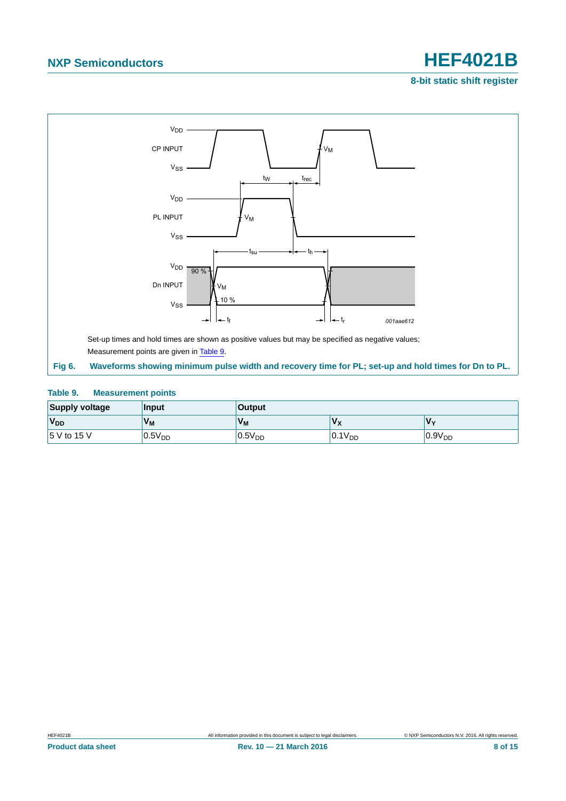**8-bit static shift register**



#### <span id="page-7-1"></span><span id="page-7-0"></span>**Table 9. Measurement points**

| <b>Supply voltage</b> | <b>Input</b>       | <b>Output</b> |             |                    |
|-----------------------|--------------------|---------------|-------------|--------------------|
| <b>V<sub>DD</sub></b> | $V_{M}$            | $V_{M}$       |             | 'V <sub>v</sub>    |
| 15 V to 15 V          | 0.5V <sub>DD</sub> | $0.5V_{DD}$   | $0.1V_{DD}$ | 0.9V <sub>DD</sub> |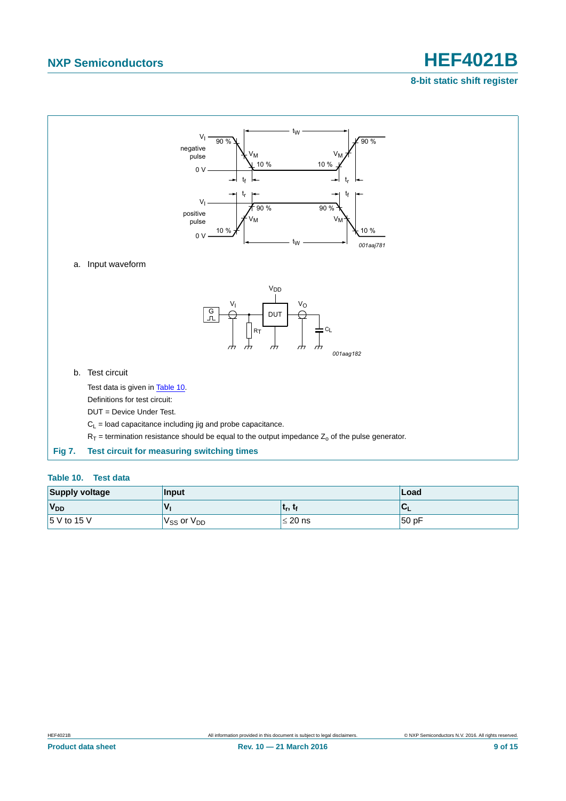#### **8-bit static shift register**



<span id="page-8-1"></span><span id="page-8-0"></span>

|  | Table 10. |  | <b>Test data</b> |  |  |
|--|-----------|--|------------------|--|--|
|--|-----------|--|------------------|--|--|

| <b>Supply voltage</b> | Input                              | ∣Load        |                     |
|-----------------------|------------------------------------|--------------|---------------------|
| V <sub>DD</sub>       | $\mathbf{v}_{\mathbf{r}}$          | լ եր, եր     | $\mathbf{C}^{\top}$ |
| $15$ V to 15 V        | V <sub>SS</sub> or V <sub>DD</sub> | $\leq 20$ ns | 50 pF               |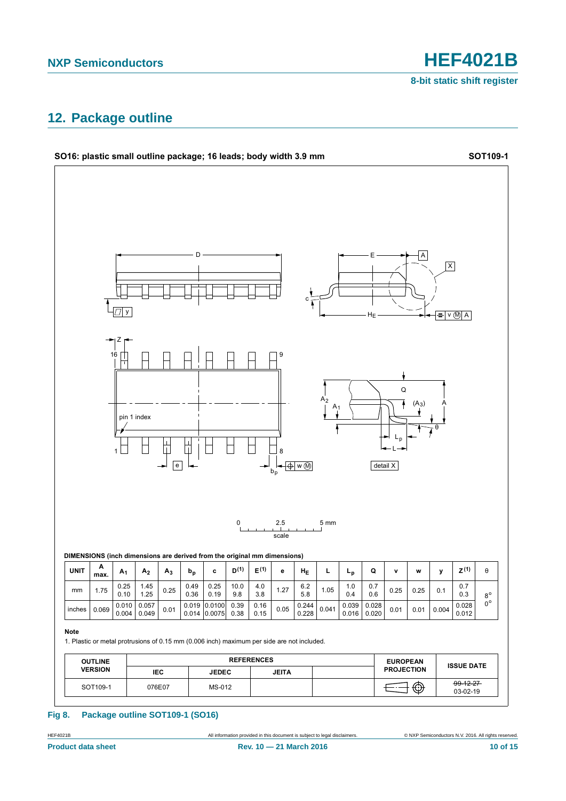### <span id="page-9-0"></span>**12. Package outline**



#### **Fig 8. Package outline SOT109-1 (SO16)**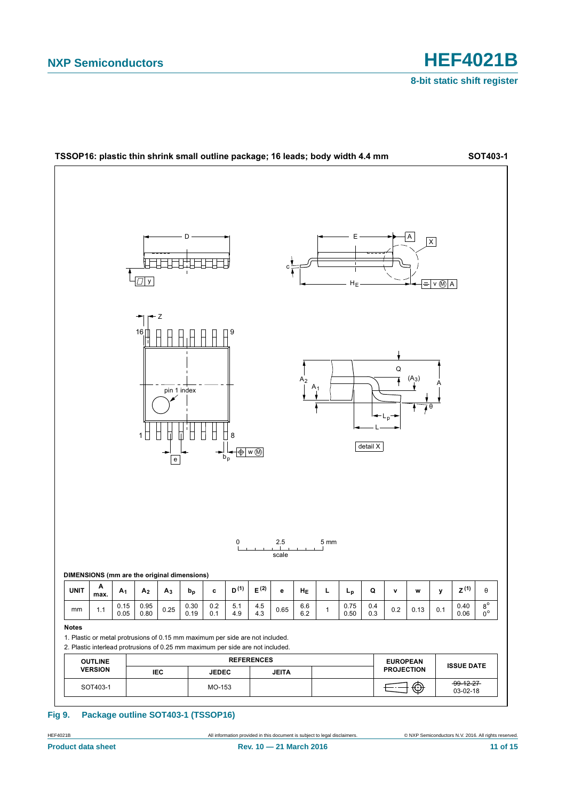

#### **Fig 9. Package outline SOT403-1 (TSSOP16)**

HEF4021B **All information provided in this document** is subject to legal disclaimers. ● © NXP Semiconductors N.V. 2016. All rights reserved.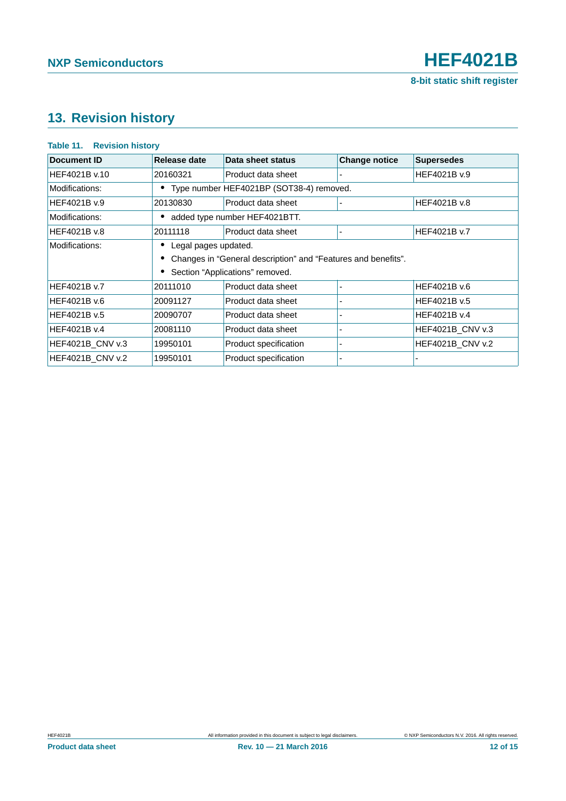### <span id="page-11-0"></span>**13. Revision history**

#### **Table 11. Revision history**

| Document ID             | Release date                                                  | Data sheet status     | <b>Change notice</b> | <b>Supersedes</b>       |
|-------------------------|---------------------------------------------------------------|-----------------------|----------------------|-------------------------|
| HEF4021B v.10           | 20160321                                                      | Product data sheet    |                      | HEF4021B v.9            |
| Modifications:          | • Type number HEF4021BP (SOT38-4) removed.                    |                       |                      |                         |
| HEF4021B v.9            | 20130830                                                      | Product data sheet    |                      | HEF4021B v.8            |
| Modifications:          | added type number HEF4021BTT.                                 |                       |                      |                         |
| HEF4021B v.8            | 20111118                                                      | Product data sheet    |                      | HEF4021B v.7            |
| Modifications:          | Legal pages updated.                                          |                       |                      |                         |
|                         | Changes in "General description" and "Features and benefits". |                       |                      |                         |
|                         | Section "Applications" removed.                               |                       |                      |                         |
| HEF4021B v.7            | 20111010                                                      | Product data sheet    |                      | HEF4021B v.6            |
| HEF4021B v.6            | 20091127                                                      | Product data sheet    |                      | HEF4021B v.5            |
| HEF4021B v.5            | 20090707                                                      | Product data sheet    |                      | HEF4021B v.4            |
| HEF4021B v.4            | 20081110                                                      | Product data sheet    |                      | HEF4021B_CNV v.3        |
| <b>HEF4021B CNV v.3</b> | 19950101                                                      | Product specification |                      | <b>HEF4021B CNV v.2</b> |
| <b>HEF4021B CNV v.2</b> | 19950101                                                      | Product specification |                      |                         |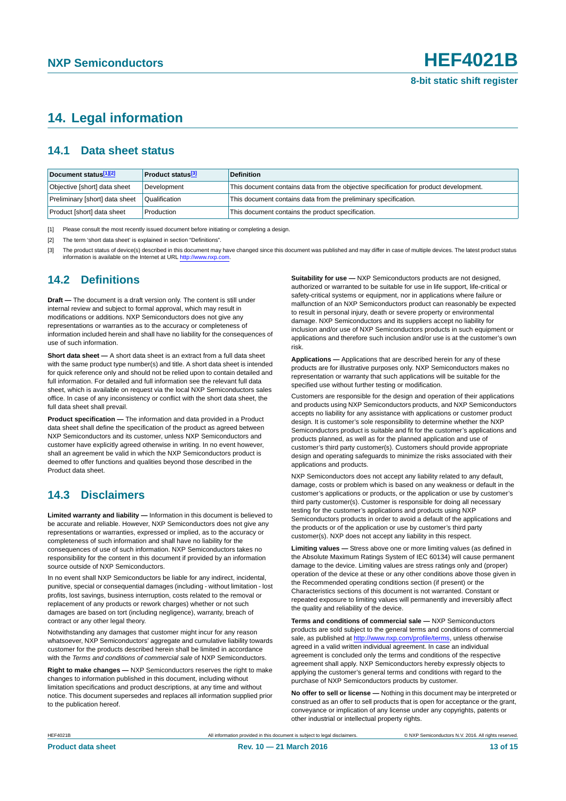### <span id="page-12-3"></span>**14. Legal information**

#### <span id="page-12-4"></span>**14.1 Data sheet status**

| Document status[1][2]          | <b>Product status</b> <sup>[3]</sup> | <b>Definition</b>                                                                     |
|--------------------------------|--------------------------------------|---------------------------------------------------------------------------------------|
| Objective [short] data sheet   | Development                          | This document contains data from the objective specification for product development. |
| Preliminary [short] data sheet | Qualification                        | This document contains data from the preliminary specification.                       |
| Product [short] data sheet     | Production                           | This document contains the product specification.                                     |

<span id="page-12-0"></span>[1] Please consult the most recently issued document before initiating or completing a design.

<span id="page-12-1"></span>[2] The term 'short data sheet' is explained in section "Definitions".

<span id="page-12-2"></span>[3] The product status of device(s) described in this document may have changed since this document was published and may differ in case of multiple devices. The latest product status<br>information is available on the Intern

#### <span id="page-12-5"></span>**14.2 Definitions**

**Draft —** The document is a draft version only. The content is still under internal review and subject to formal approval, which may result in modifications or additions. NXP Semiconductors does not give any representations or warranties as to the accuracy or completeness of information included herein and shall have no liability for the consequences of use of such information.

**Short data sheet —** A short data sheet is an extract from a full data sheet with the same product type number(s) and title. A short data sheet is intended for quick reference only and should not be relied upon to contain detailed and full information. For detailed and full information see the relevant full data sheet, which is available on request via the local NXP Semiconductors sales office. In case of any inconsistency or conflict with the short data sheet, the full data sheet shall prevail.

**Product specification —** The information and data provided in a Product data sheet shall define the specification of the product as agreed between NXP Semiconductors and its customer, unless NXP Semiconductors and customer have explicitly agreed otherwise in writing. In no event however, shall an agreement be valid in which the NXP Semiconductors product is deemed to offer functions and qualities beyond those described in the Product data sheet.

### <span id="page-12-6"></span>**14.3 Disclaimers**

**Limited warranty and liability —** Information in this document is believed to be accurate and reliable. However, NXP Semiconductors does not give any representations or warranties, expressed or implied, as to the accuracy or completeness of such information and shall have no liability for the consequences of use of such information. NXP Semiconductors takes no responsibility for the content in this document if provided by an information source outside of NXP Semiconductors.

In no event shall NXP Semiconductors be liable for any indirect, incidental, punitive, special or consequential damages (including - without limitation - lost profits, lost savings, business interruption, costs related to the removal or replacement of any products or rework charges) whether or not such damages are based on tort (including negligence), warranty, breach of contract or any other legal theory.

Notwithstanding any damages that customer might incur for any reason whatsoever, NXP Semiconductors' aggregate and cumulative liability towards customer for the products described herein shall be limited in accordance with the *Terms and conditions of commercial sale* of NXP Semiconductors.

**Right to make changes —** NXP Semiconductors reserves the right to make changes to information published in this document, including without limitation specifications and product descriptions, at any time and without notice. This document supersedes and replaces all information supplied prior to the publication hereof.

**Suitability for use —** NXP Semiconductors products are not designed, authorized or warranted to be suitable for use in life support, life-critical or safety-critical systems or equipment, nor in applications where failure or malfunction of an NXP Semiconductors product can reasonably be expected to result in personal injury, death or severe property or environmental damage. NXP Semiconductors and its suppliers accept no liability for inclusion and/or use of NXP Semiconductors products in such equipment or applications and therefore such inclusion and/or use is at the customer's own risk.

**Applications —** Applications that are described herein for any of these products are for illustrative purposes only. NXP Semiconductors makes no representation or warranty that such applications will be suitable for the specified use without further testing or modification.

Customers are responsible for the design and operation of their applications and products using NXP Semiconductors products, and NXP Semiconductors accepts no liability for any assistance with applications or customer product design. It is customer's sole responsibility to determine whether the NXP Semiconductors product is suitable and fit for the customer's applications and products planned, as well as for the planned application and use of customer's third party customer(s). Customers should provide appropriate design and operating safeguards to minimize the risks associated with their applications and products.

NXP Semiconductors does not accept any liability related to any default, damage, costs or problem which is based on any weakness or default in the customer's applications or products, or the application or use by customer's third party customer(s). Customer is responsible for doing all necessary testing for the customer's applications and products using NXP Semiconductors products in order to avoid a default of the applications and the products or of the application or use by customer's third party customer(s). NXP does not accept any liability in this respect.

**Limiting values —** Stress above one or more limiting values (as defined in the Absolute Maximum Ratings System of IEC 60134) will cause permanent damage to the device. Limiting values are stress ratings only and (proper) operation of the device at these or any other conditions above those given in the Recommended operating conditions section (if present) or the Characteristics sections of this document is not warranted. Constant or repeated exposure to limiting values will permanently and irreversibly affect the quality and reliability of the device.

**Terms and conditions of commercial sale —** NXP Semiconductors products are sold subject to the general terms and conditions of commercial sale, as published at<http://www.nxp.com/profile/terms>, unless otherwise agreed in a valid written individual agreement. In case an individual agreement is concluded only the terms and conditions of the respective agreement shall apply. NXP Semiconductors hereby expressly objects to applying the customer's general terms and conditions with regard to the purchase of NXP Semiconductors products by customer.

**No offer to sell or license —** Nothing in this document may be interpreted or construed as an offer to sell products that is open for acceptance or the grant, conveyance or implication of any license under any copyrights, patents or other industrial or intellectual property rights.

All information provided in this document is subject to legal disclaimers. **Example 2018** All rights reserved.

All information provided in this document is subject to legal disclaimers.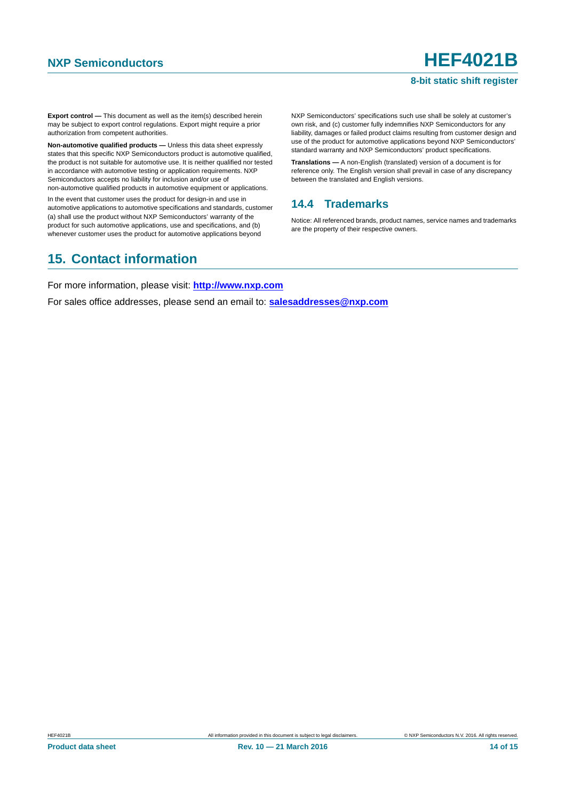#### **8-bit static shift register**

**Export control —** This document as well as the item(s) described herein may be subject to export control regulations. Export might require a prior authorization from competent authorities.

**Non-automotive qualified products —** Unless this data sheet expressly states that this specific NXP Semiconductors product is automotive qualified, the product is not suitable for automotive use. It is neither qualified nor tested in accordance with automotive testing or application requirements. NXP Semiconductors accepts no liability for inclusion and/or use of non-automotive qualified products in automotive equipment or applications.

In the event that customer uses the product for design-in and use in automotive applications to automotive specifications and standards, customer (a) shall use the product without NXP Semiconductors' warranty of the product for such automotive applications, use and specifications, and (b) whenever customer uses the product for automotive applications beyond

NXP Semiconductors' specifications such use shall be solely at customer's own risk, and (c) customer fully indemnifies NXP Semiconductors for any liability, damages or failed product claims resulting from customer design and use of the product for automotive applications beyond NXP Semiconductors' standard warranty and NXP Semiconductors' product specifications.

**Translations —** A non-English (translated) version of a document is for reference only. The English version shall prevail in case of any discrepancy between the translated and English versions.

#### <span id="page-13-0"></span>**14.4 Trademarks**

Notice: All referenced brands, product names, service names and trademarks are the property of their respective owners.

### <span id="page-13-1"></span>**15. Contact information**

For more information, please visit: **http://www.nxp.com**

For sales office addresses, please send an email to: **salesaddresses@nxp.com**